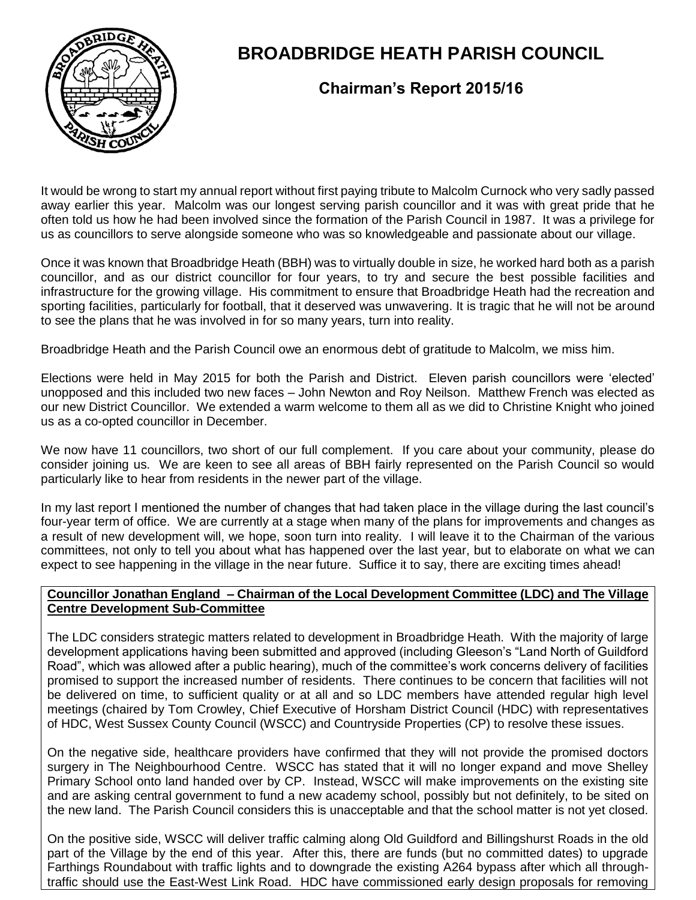

# **BROADBRIDGE HEATH PARISH COUNCIL**

## **Chairman's Report 2015/16**

It would be wrong to start my annual report without first paying tribute to Malcolm Curnock who very sadly passed away earlier this year. Malcolm was our longest serving parish councillor and it was with great pride that he often told us how he had been involved since the formation of the Parish Council in 1987. It was a privilege for us as councillors to serve alongside someone who was so knowledgeable and passionate about our village.

Once it was known that Broadbridge Heath (BBH) was to virtually double in size, he worked hard both as a parish councillor, and as our district councillor for four years, to try and secure the best possible facilities and infrastructure for the growing village. His commitment to ensure that Broadbridge Heath had the recreation and sporting facilities, particularly for football, that it deserved was unwavering. It is tragic that he will not be around to see the plans that he was involved in for so many years, turn into reality.

Broadbridge Heath and the Parish Council owe an enormous debt of gratitude to Malcolm, we miss him.

Elections were held in May 2015 for both the Parish and District. Eleven parish councillors were 'elected' unopposed and this included two new faces – John Newton and Roy Neilson. Matthew French was elected as our new District Councillor. We extended a warm welcome to them all as we did to Christine Knight who joined us as a co-opted councillor in December.

We now have 11 councillors, two short of our full complement. If you care about your community, please do consider joining us. We are keen to see all areas of BBH fairly represented on the Parish Council so would particularly like to hear from residents in the newer part of the village.

In my last report I mentioned the number of changes that had taken place in the village during the last council's four-year term of office. We are currently at a stage when many of the plans for improvements and changes as a result of new development will, we hope, soon turn into reality. I will leave it to the Chairman of the various committees, not only to tell you about what has happened over the last year, but to elaborate on what we can expect to see happening in the village in the near future. Suffice it to say, there are exciting times ahead!

#### **Councillor Jonathan England – Chairman of the Local Development Committee (LDC) and The Village Centre Development Sub-Committee**

The LDC considers strategic matters related to development in Broadbridge Heath. With the majority of large development applications having been submitted and approved (including Gleeson's "Land North of Guildford Road", which was allowed after a public hearing), much of the committee's work concerns delivery of facilities promised to support the increased number of residents. There continues to be concern that facilities will not be delivered on time, to sufficient quality or at all and so LDC members have attended regular high level meetings (chaired by Tom Crowley, Chief Executive of Horsham District Council (HDC) with representatives of HDC, West Sussex County Council (WSCC) and Countryside Properties (CP) to resolve these issues.

On the negative side, healthcare providers have confirmed that they will not provide the promised doctors surgery in The Neighbourhood Centre. WSCC has stated that it will no longer expand and move Shelley Primary School onto land handed over by CP. Instead, WSCC will make improvements on the existing site and are asking central government to fund a new academy school, possibly but not definitely, to be sited on the new land. The Parish Council considers this is unacceptable and that the school matter is not yet closed.

On the positive side, WSCC will deliver traffic calming along Old Guildford and Billingshurst Roads in the old part of the Village by the end of this year. After this, there are funds (but no committed dates) to upgrade Farthings Roundabout with traffic lights and to downgrade the existing A264 bypass after which all throughtraffic should use the East-West Link Road. HDC have commissioned early design proposals for removing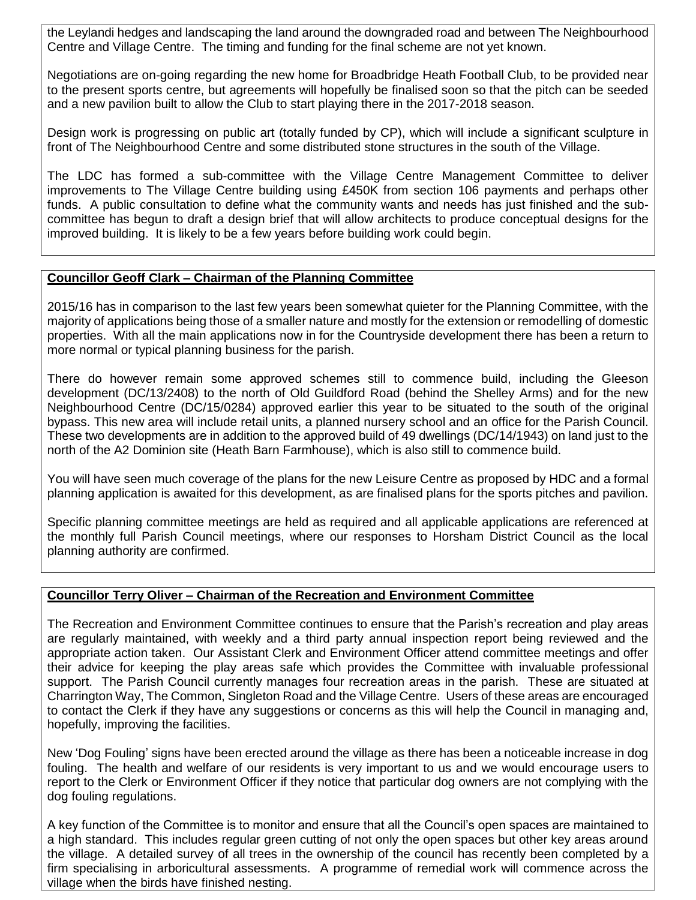the Leylandi hedges and landscaping the land around the downgraded road and between The Neighbourhood Centre and Village Centre. The timing and funding for the final scheme are not yet known.

Negotiations are on-going regarding the new home for Broadbridge Heath Football Club, to be provided near to the present sports centre, but agreements will hopefully be finalised soon so that the pitch can be seeded and a new pavilion built to allow the Club to start playing there in the 2017-2018 season.

Design work is progressing on public art (totally funded by CP), which will include a significant sculpture in front of The Neighbourhood Centre and some distributed stone structures in the south of the Village.

The LDC has formed a sub-committee with the Village Centre Management Committee to deliver improvements to The Village Centre building using £450K from section 106 payments and perhaps other funds. A public consultation to define what the community wants and needs has just finished and the subcommittee has begun to draft a design brief that will allow architects to produce conceptual designs for the improved building. It is likely to be a few years before building work could begin.

#### **Councillor Geoff Clark – Chairman of the Planning Committee**

2015/16 has in comparison to the last few years been somewhat quieter for the Planning Committee, with the majority of applications being those of a smaller nature and mostly for the extension or remodelling of domestic properties. With all the main applications now in for the Countryside development there has been a return to more normal or typical planning business for the parish.

There do however remain some approved schemes still to commence build, including the Gleeson development (DC/13/2408) to the north of Old Guildford Road (behind the Shelley Arms) and for the new Neighbourhood Centre (DC/15/0284) approved earlier this year to be situated to the south of the original bypass. This new area will include retail units, a planned nursery school and an office for the Parish Council. These two developments are in addition to the approved build of 49 dwellings (DC/14/1943) on land just to the north of the A2 Dominion site (Heath Barn Farmhouse), which is also still to commence build.

You will have seen much coverage of the plans for the new Leisure Centre as proposed by HDC and a formal planning application is awaited for this development, as are finalised plans for the sports pitches and pavilion.

Specific planning committee meetings are held as required and all applicable applications are referenced at the monthly full Parish Council meetings, where our responses to Horsham District Council as the local planning authority are confirmed.

#### **Councillor Terry Oliver – Chairman of the Recreation and Environment Committee**

The Recreation and Environment Committee continues to ensure that the Parish's recreation and play areas are regularly maintained, with weekly and a third party annual inspection report being reviewed and the appropriate action taken. Our Assistant Clerk and Environment Officer attend committee meetings and offer their advice for keeping the play areas safe which provides the Committee with invaluable professional support. The Parish Council currently manages four recreation areas in the parish. These are situated at Charrington Way, The Common, Singleton Road and the Village Centre. Users of these areas are encouraged to contact the Clerk if they have any suggestions or concerns as this will help the Council in managing and, hopefully, improving the facilities.

New 'Dog Fouling' signs have been erected around the village as there has been a noticeable increase in dog fouling. The health and welfare of our residents is very important to us and we would encourage users to report to the Clerk or Environment Officer if they notice that particular dog owners are not complying with the dog fouling regulations.

A key function of the Committee is to monitor and ensure that all the Council's open spaces are maintained to a high standard. This includes regular green cutting of not only the open spaces but other key areas around the village. A detailed survey of all trees in the ownership of the council has recently been completed by a firm specialising in arboricultural assessments. A programme of remedial work will commence across the village when the birds have finished nesting.